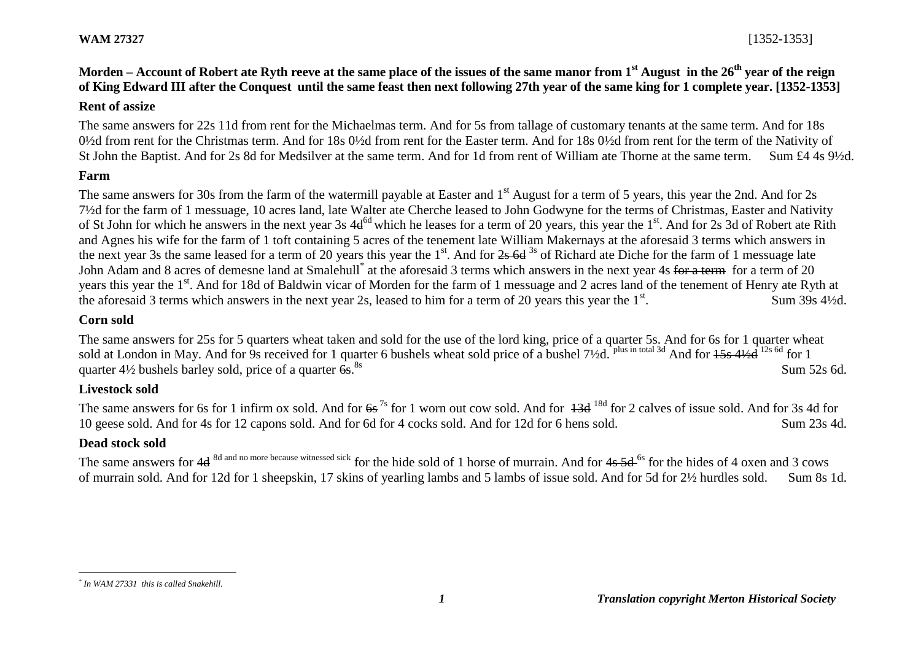# **Morden – Account of Robert ate Ryth reeve at the same place of the issues of the same manor from 1st August in the 26th year of the reign of King Edward III after the Conquest until the same feast then next following 27th year of the same king for 1 complete year. [1352-1353]**

### **Rent of assize**

The same answers for 22s 11d from rent for the Michaelmas term. And for 5s from tallage of customary tenants at the same term. And for 18s 0½d from rent for the Christmas term. And for 18s 0½d from rent for the Easter term. And for 18s 0½d from rent for the term of the Nativity of St John the Baptist. And for 2s 8d for Medsilver at the same term. And for 1d from rent of William ate Thorne at the same term. Sum £4 4s 9½d.

## **Farm**

The same answers for 30s from the farm of the watermill payable at Easter and 1<sup>st</sup> August for a term of 5 years, this year the 2nd. And for 2s 7½d for the farm of 1 messuage, 10 acres land, late Walter ate Cherche leased to John Godwyne for the terms of Christmas, Easter and Nativity of St John for which he answers in the next year 3s 4d<sup>6d</sup> which he leases for a term of 20 years, this year the 1<sup>st</sup>. And for 2s 3d of Robert ate Rith and Agnes his wife for the farm of 1 toft containing 5 acres of the tenement late William Makernays at the aforesaid 3 terms which answers in the next year 3s the same leased for a term of 20 years this year the  $1<sup>st</sup>$ . And for  $2s$  6d  $3<sup>s</sup>$  of Richard ate Diche for the farm of 1 messuage late John Adam and 8 acres of demesne land at Smalehull<sup>\*</sup> at the aforesaid 3 terms which answers in the next year 4s for a term for a term of 20 years this year the 1<sup>st</sup>. And for 18d of Baldwin vicar of Morden for the farm of 1 messuage and 2 acres land of the tenement of Henry ate Ryth at the aforesaid 3 terms which answers in the next year 2s, leased to him for a term of 20 years this year the  $1<sup>st</sup>$ . . Sum 39s 4½d.

#### **Corn sold**

The same answers for 25s for 5 quarters wheat taken and sold for the use of the lord king, price of a quarter 5s. And for 6s for 1 quarter wheat sold at London in May. And for 9s received for 1 quarter 6 bushels wheat sold price of a bushel 7½d. <sup>plus in total 3d</sup> And for 15s 4½d <sup>12s 6d</sup> for 1 quarter  $4\frac{1}{2}$  bushels barley sold, price of a quarter  $6s$ .<sup>8s</sup>  $8s$  Sum 52s 6d.

### **Livestock sold**

The same answers for 6s for 1 infirm ox sold. And for  $6s^{7s}$  for 1 worn out cow sold. And for  $13d^{18d}$  for 2 calves of issue sold. And for 3s 4d for 10 geese sold. And for 4s for 12 capons sold. And for 6d for 4 cocks sold. And for 12d for 6 hens sold. Sum 23s 4d.

# **Dead stock sold**

The same answers for 4d <sup>8d and no more because witnessed sick</sup> for the hide sold of 1 horse of murrain. And for 4s 5d <sup>6s</sup> for the hides of 4 oxen and 3 cows of murrain sold. And for 12d for 1 sheepskin, 17 skins of yearling lambs and 5 lambs of issue sold. And for 5d for 2½ hurdles sold. Sum 8s 1d.

 $\overline{a}$ *\* In WAM 27331 this is called Snakehill.*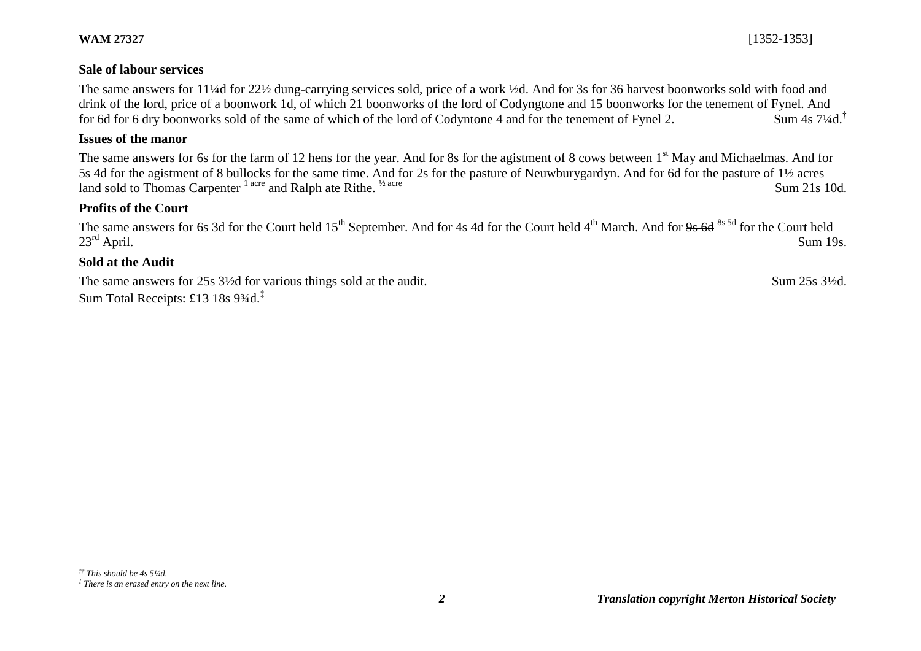#### **Sale of labour services**

The same answers for 11¼d for 22½ dung-carrying services sold, price of a work ½d. And for 3s for 36 harvest boonworks sold with food and drink of the lord, price of a boonwork 1d, of which 21 boonworks of the lord of Codyngtone and 15 boonworks for the tenement of Fynel. And for 6d for 6 dry boonworks sold of the same of which of the lord of Codyntone 4 and for the tenement of Fynel 2. Sum 4s 7¼d.<sup>†</sup>

#### **Issues of the manor**

The same answers for 6s for the farm of 12 hens for the year. And for 8s for the agistment of 8 cows between 1<sup>st</sup> May and Michaelmas. And for 5s 4d for the agistment of 8 bullocks for the same time. And for 2s for the pasture of Neuwburygardyn. And for 6d for the pasture of 1½ acres land sold to Thomas Carpenter  $1^{1 \text{ acre}}$  and Ralph ate Rithe. <sup>1/2 acre</sup> Sum 21s 10d.

# **Profits of the Court**

The same answers for 6s 3d for the Court held  $15^{th}$  September. And for 4s 4d for the Court held  $4^{th}$  March. And for 9s 6d  $8^{8.5d}$  for the Court held  $23^{rd}$  April.  $23<sup>rd</sup>$  April. Sum 19s.

#### **Sold at the Audit**

The same answers for 25s 3<sup>1/2</sup>d for various things sold at the audit. Sum 25s 3<sup>1/2</sup>d. Sum Total Receipts: £13 18s 93⁄4d.<sup>‡</sup>

l *†† This should be 4s 5¼d.* 

*<sup>‡</sup> There is an erased entry on the next line.*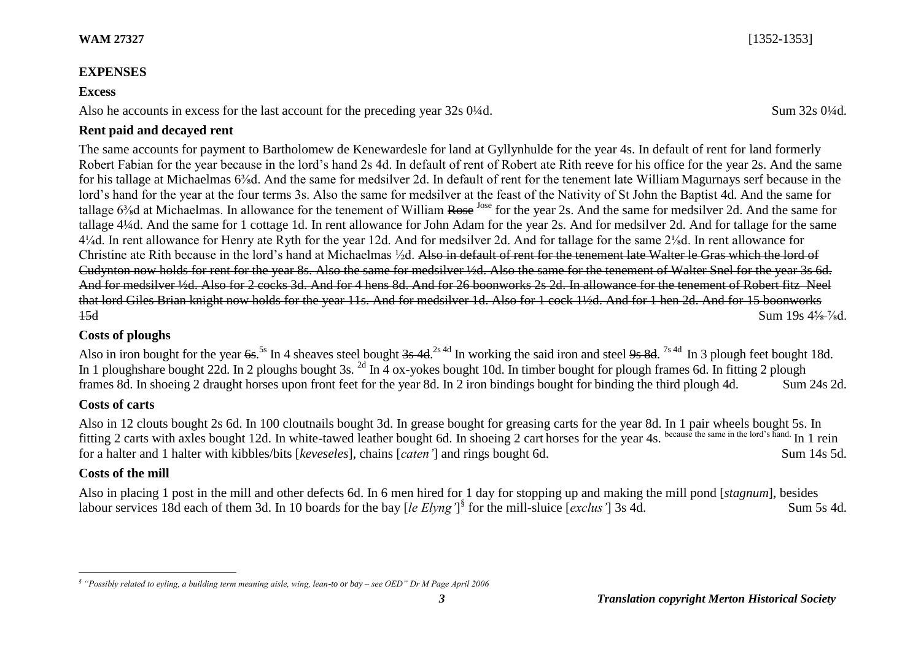### **EXPENSES**

#### **Excess**

Also he accounts in excess for the last account for the preceding year 32s 0¼d. Sum 32s 0¼d.

## **Rent paid and decayed rent**

The same accounts for payment to Bartholomew de Kenewardesle for land at Gyllynhulde for the year 4s. In default of rent for land formerly Robert Fabian for the year because in the lord's hand 2s 4d. In default of rent of Robert ate Rith reeve for his office for the year 2s. And the same for his tallage at Michaelmas 6<sup>3</sup>/<sub>8</sub>d. And the same for medsilver 2d. In default of rent for the tenement late William Magurnays serf because in the lord's hand for the year at the four terms 3s. Also the same for medsilver at the feast of the Nativity of St John the Baptist 4d. And the same for tallage 6<sup>3</sup>/<sub>8</sub>d at Michaelmas. In allowance for the tenement of William Rose <sup>Jose</sup> for the year 2s. And the same for medsilver 2d. And the same for tallage 4¼d. And the same for 1 cottage 1d. In rent allowance for John Adam for the year 2s. And for medsilver 2d. And for tallage for the same 4¼d. In rent allowance for Henry ate Ryth for the year 12d. And for medsilver 2d. And for tallage for the same 2⅛d. In rent allowance for Christine ate Rith because in the lord's hand at Michaelmas ½d. Also in default of rent for the tenement late Walter le Gras which the lord of Cudynton now holds for rent for the year 8s. Also the same for medsilver ½d. Also the same for the tenement of Walter Snel for the year 3s 6d. And for medsilver ½d. Also for 2 cocks 3d. And for 4 hens 8d. And for 26 boonworks 2s 2d. In allowance for the tenement of Robert fitz Neel that lord Giles Brian knight now holds for the year 11s. And for medsilver 1d. Also for 1 cock 1½d. And for 1 hen 2d. And for 15 boonworks  $15d$  Sum  $19s$   $4\frac{5}{6}$  % $d$ .

### **Costs of ploughs**

Also in iron bought for the year <del>6s</del>.<sup>5s</sup> In 4 sheaves steel bought <del>3s 4d</del>.<sup>2s 4d</sup> In working the said iron and steel <del>9s 8d</del>.<sup>7s 4d</sup> In 3 plough feet bought 18d. In 1 ploughshare bought 22d. In 2 ploughs bought 3s. <sup>2d</sup> In 4 ox-yokes bought 10d. In timber bought for plough frames 6d. In fitting 2 plough frames 8d. In shoeing 2 draught horses upon front feet for the year 8d. In 2 iron bindings bought for binding the third plough 4d. Sum 24s 2d.

# **Costs of carts**

Also in 12 clouts bought 2s 6d. In 100 cloutnails bought 3d. In grease bought for greasing carts for the year 8d. In 1 pair wheels bought 5s. In fitting 2 carts with axles bought 12d. In white-tawed leather bought 6d. In shoeing 2 cart horses for the year 4s. because the same in the lord's hand. In 1 rein for a halter and 1 halter with kibbles/bits [*keveseles*], chains [*caten'*] and rings bought 6d. Sum 14s 5d.

# **Costs of the mill**

 $\overline{a}$ 

Also in placing 1 post in the mill and other defects 6d. In 6 men hired for 1 day for stopping up and making the mill pond [*stagnum*], besides labour services 18d each of them 3d. In 10 boards for the bay [*le Elyng'*]<sup>§</sup> for the mill-sluice [*exclus'*] 3s 4d. Sum 5s 4d.

*<sup>§</sup> "Possibly related to eyling, a building term meaning aisle, wing, lean-to or bay – see OED" Dr M Page April 2006*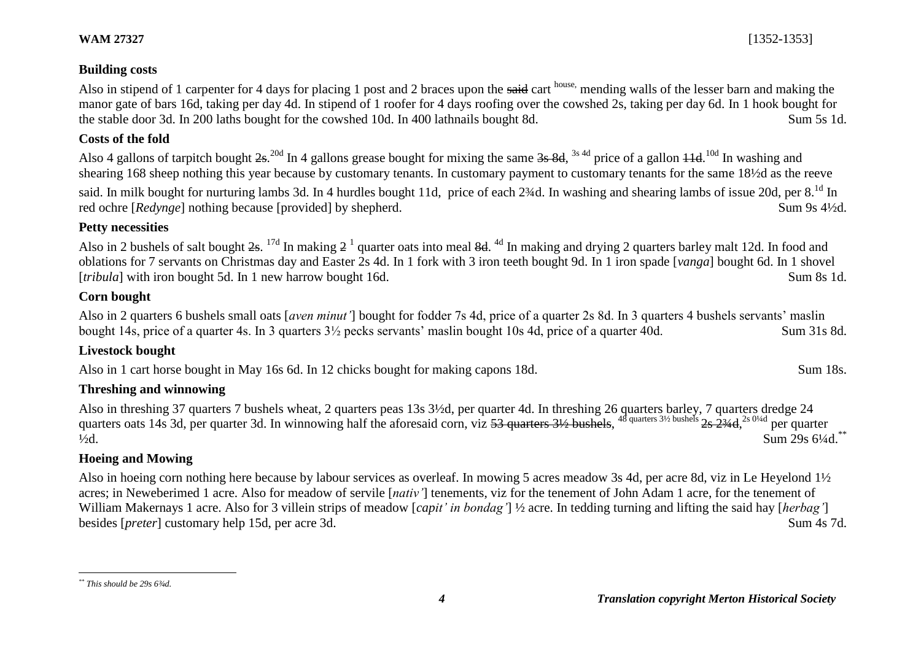Also in stipend of 1 carpenter for 4 days for placing 1 post and 2 braces upon the said cart house, mending walls of the lesser barn and making the manor gate of bars 16d, taking per day 4d. In stipend of 1 roofer for 4 days roofing over the cowshed 2s, taking per day 6d. In 1 hook bought for the stable door 3d. In 200 laths bought for the cowshed 10d. In 400 lathnails bought 8d. Sum 5s 1d.

### **Costs of the fold**

Also 4 gallons of tarpitch bought  $2s$ .<sup>20d</sup> In 4 gallons grease bought for mixing the same  $3s$  8d,  $3s$  4d price of a gallon  $11d$ .<sup>10d</sup> In washing and shearing 168 sheep nothing this year because by customary tenants. In customary payment to customary tenants for the same 18½d as the reeve

said. In milk bought for nurturing lambs 3d. In 4 hurdles bought 11d, price of each 2¾d. In washing and shearing lambs of issue 20d. per 8.<sup>1d</sup> In red ochre [*Redynge*] nothing because [provided] by shepherd. Sum 9s 4½d.

# **Petty necessities**

Also in 2 bushels of salt bought  $2s$ . <sup>17d</sup> In making  $2<sup>1</sup>$  quarter oats into meal  $8d$ . <sup>4d</sup> In making and drying 2 quarters barley malt 12d. In food and oblations for 7 servants on Christmas day and Easter 2s 4d. In 1 fork with 3 iron teeth bought 9d. In 1 iron spade [*vanga*] bought 6d. In 1 shovel [*tribula*] with iron bought 5d. In 1 new harrow bought 16d. Sum 8s 1d.

# **Corn bought**

Also in 2 quarters 6 bushels small oats [*aven minut'*] bought for fodder 7s 4d, price of a quarter 2s 8d. In 3 quarters 4 bushels servants' maslin bought 14s, price of a quarter 4s. In 3 quarters 3½ pecks servants' maslin bought 10s 4d, price of a quarter 40d. Sum 31s 8d.

# **Livestock bought**

Also in 1 cart horse bought in May 16s 6d. In 12 chicks bought for making capons 18d. Sum 18s. Sum 18s.

# **Threshing and winnowing**

Also in threshing 37 quarters 7 bushels wheat, 2 quarters peas 13s 3½d, per quarter 4d. In threshing 26 quarters barley, 7 quarters dredge 24 quarters oats 14s 3d, per quarter 3d. In winnowing half the aforesaid corn, viz 53 quarters 3½ bushels, <sup>48 quarters 3½ bushels</sup> 2s 2¾d,<sup>2s 0¼d</sup> per quarter  $\frac{1}{2}$ d. Sum 29s 6<sup>1</sup>/4d.<sup>\*\*</sup>

# **Hoeing and Mowing**

Also in hoeing corn nothing here because by labour services as overleaf. In mowing 5 acres meadow 3s 4d, per acre 8d, viz in Le Heyelond 1½ acres; in Neweberimed 1 acre. Also for meadow of servile [*nativ'*] tenements, viz for the tenement of John Adam 1 acre, for the tenement of William Makernays 1 acre. Also for 3 villein strips of meadow [*capit' in bondag'*] ½ acre. In tedding turning and lifting the said hay [*herbag'*] besides [*preter*] customary help 15d, per acre 3d. Sum 4s 7d.

 $\overline{a}$ *\*\* This should be 29s 6¾d.*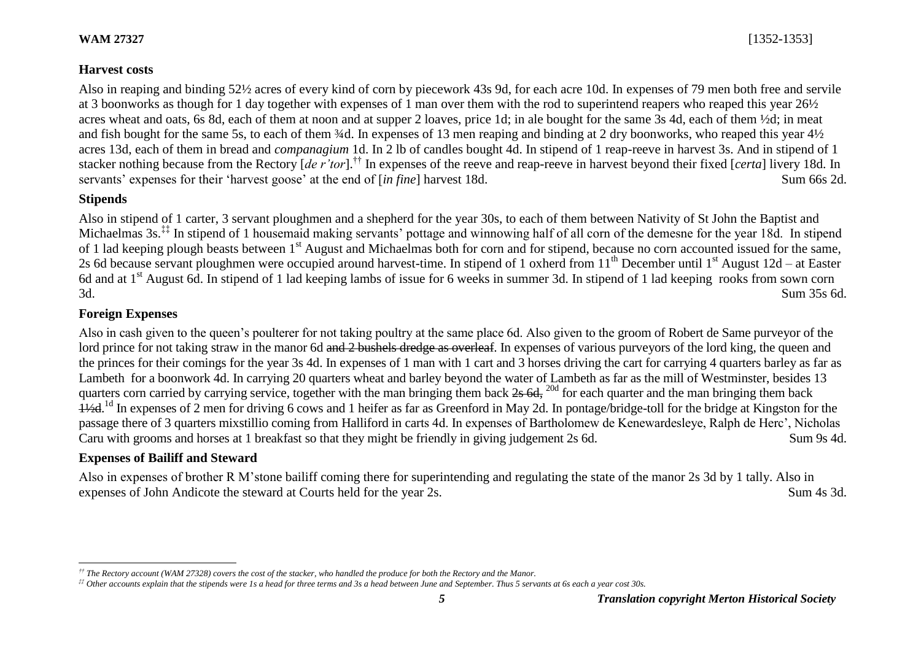## **Harvest costs**

Also in reaping and binding 52½ acres of every kind of corn by piecework 43s 9d, for each acre 10d. In expenses of 79 men both free and servile at 3 boonworks as though for 1 day together with expenses of 1 man over them with the rod to superintend reapers who reaped this year 26½ acres wheat and oats, 6s 8d, each of them at noon and at supper 2 loaves, price 1d; in ale bought for the same 3s 4d, each of them ½d; in meat and fish bought for the same 5s, to each of them <sup>3/</sup>4d. In expenses of 13 men reaping and binding at 2 dry boonworks, who reaped this year 4<sup>1/2</sup> acres 13d, each of them in bread and *companagium* 1d. In 2 lb of candles bought 4d. In stipend of 1 reap-reeve in harvest 3s. And in stipend of 1 stacker nothing because from the Rectory [*de r'tor*].†† In expenses of the reeve and reap-reeve in harvest beyond their fixed [*certa*] livery 18d. In servants' expenses for their 'harvest goose' at the end of [*in fine*] harvest 18d. Sum 66s 2d.

## **Stipends**

l

Also in stipend of 1 carter, 3 servant ploughmen and a shepherd for the year 30s, to each of them between Nativity of St John the Baptist and Michaelmas 3s.<sup>‡‡</sup> In stipend of 1 housemaid making servants' pottage and winnowing half of all corn of the demesne for the year 18d. In stipend of 1 lad keeping plough beasts between 1<sup>st</sup> August and Michaelmas both for corn and for stipend, because no corn accounted issued for the same, 2s 6d because servant ploughmen were occupied around harvest-time. In stipend of 1 oxherd from  $11<sup>th</sup>$  December until  $1<sup>st</sup>$  August 12d – at Easter 6d and at  $1<sup>st</sup>$  August 6d. In stipend of 1 lad keeping lambs of issue for 6 weeks in summer 3d. In stipend of 1 lad keeping rooks from sown corn 3d. Sum 35s 6d.

## **Foreign Expenses**

Also in cash given to the queen's poulterer for not taking poultry at the same place 6d. Also given to the groom of Robert de Same purveyor of the lord prince for not taking straw in the manor 6d and 2 bushels dredge as overleaf. In expenses of various purveyors of the lord king, the queen and the princes for their comings for the year 3s 4d. In expenses of 1 man with 1 cart and 3 horses driving the cart for carrying 4 quarters barley as far as Lambeth for a boonwork 4d. In carrying 20 quarters wheat and barley beyond the water of Lambeth as far as the mill of Westminster, besides 13 quarters corn carried by carrying service, together with the man bringing them back  $2s$  6d,  $^{20d}$  for each quarter and the man bringing them back 1½d.<sup>1d</sup> In expenses of 2 men for driving 6 cows and 1 heifer as far as Greenford in May 2d. In pontage/bridge-toll for the bridge at Kingston for the passage there of 3 quarters mixstillio coming from Halliford in carts 4d. In expenses of Bartholomew de Kenewardesleye, Ralph de Herc', Nicholas Caru with grooms and horses at 1 breakfast so that they might be friendly in giving judgement 2s 6d. Sum 9s 4d.

# **Expenses of Bailiff and Steward**

Also in expenses of brother R M'stone bailiff coming there for superintending and regulating the state of the manor 2s 3d by 1 tally. Also in expenses of John Andicote the steward at Courts held for the year 2s. Sum 4s 3d.

*<sup>††</sup> The Rectory account (WAM 27328) covers the cost of the stacker, who handled the produce for both the Rectory and the Manor.*

*<sup>‡‡</sup> Other accounts explain that the stipends were 1s a head for three terms and 3s a head between June and September. Thus 5 servants at 6s each a year cost 30s.*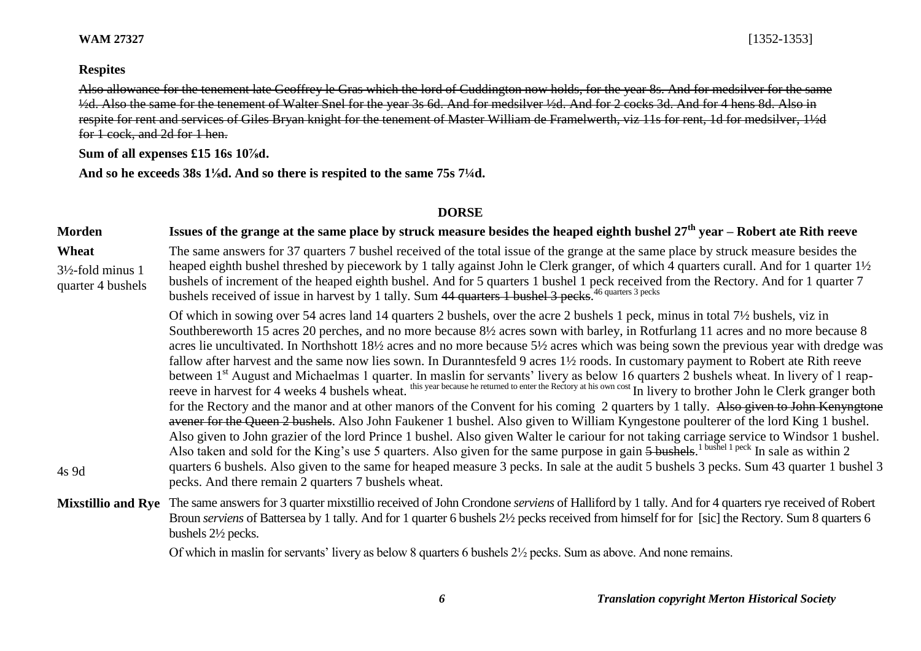**WAM 27327** [1352-1353]

#### **Respites**

Also allowance for the tenement late Geoffrey le Gras which the lord of Cuddington now holds, for the year 8s. And for medsilver for the same ½d. Also the same for the tenement of Walter Snel for the year 3s 6d. And for medsilver ½d. And for 2 cocks 3d. And for 4 hens 8d. Also in respite for rent and services of Giles Bryan knight for the tenement of Master William de Framelwerth, viz 11s for rent, 1d for medsilver, 1½d for 1 cock, and 2d for 1 hen.

**Sum of all expenses £15 16s 10⅞d.**

**And so he exceeds 38s 1⅛d. And so there is respited to the same 75s 7¼d.**

#### **DORSE**

#### **Morden Issues of the grange at the same place by struck measure besides the heaped eighth bushel 27th year – Robert ate Rith reeve Wheat** 3½-fold minus 1 quarter 4 bushels The same answers for 37 quarters 7 bushel received of the total issue of the grange at the same place by struck measure besides the heaped eighth bushel threshed by piecework by 1 tally against John le Clerk granger, of which 4 quarters curall. And for 1 quarter 1½ bushels of increment of the heaped eighth bushel. And for 5 quarters 1 bushel 1 peck received from the Rectory. And for 1 quarter 7 bushels received of issue in harvest by 1 tally. Sum 44 quarters 1 bushel 3 pecks.<sup>46 quarters 3 pecks</sup> 4s 9d Of which in sowing over 54 acres land 14 quarters 2 bushels, over the acre 2 bushels 1 peck, minus in total 7½ bushels, viz in Southbereworth 15 acres 20 perches, and no more because 8½ acres sown with barley, in Rotfurlang 11 acres and no more because 8 acres lie uncultivated. In Northshott 18½ acres and no more because 5½ acres which was being sown the previous year with dredge was fallow after harvest and the same now lies sown. In Duranntesfeld 9 acres 1½ roods. In customary payment to Robert ate Rith reeve between 1<sup>st</sup> August and Michaelmas 1 quarter. In maslin for servants' livery as below 16 quarters 2 bushels wheat. In livery of 1 reapreeve in harvest for 4 weeks 4 bushels wheat.<sup>this year because he returned</sup> to enter the Rectory at his own cost In livery to brother John le Clerk granger both for the Rectory and the manor and at other manors of the Convent for his coming 2 quarters by 1 tally. Also given to John Kenyngtone avener for the Queen 2 bushels. Also John Faukener 1 bushel. Also given to William Kyngestone poulterer of the lord King 1 bushel. Also given to John grazier of the lord Prince 1 bushel. Also given Walter le cariour for not taking carriage service to Windsor 1 bushel. Also taken and sold for the King's use 5 quarters. Also given for the same purpose in gain  $5$  bushels.<sup>1 bushel 1 peck</sup> In sale as within 2 quarters 6 bushels. Also given to the same for heaped measure 3 pecks. In sale at the audit 5 bushels 3 pecks. Sum 43 quarter 1 bushel 3 pecks. And there remain 2 quarters 7 bushels wheat. **Mixstillio and Rye** The same answers for 3 quarter mixstillio received of John Crondone *serviens* of Halliford by 1 tally. And for 4 quarters rye received of Robert Broun *serviens* of Battersea by 1 tally. And for 1 quarter 6 bushels 2½ pecks received from himself for for [sic] the Rectory. Sum 8 quarters 6 bushels 2½ pecks. Of which in maslin for servants' livery as below 8 quarters 6 bushels 2½ pecks. Sum as above. And none remains.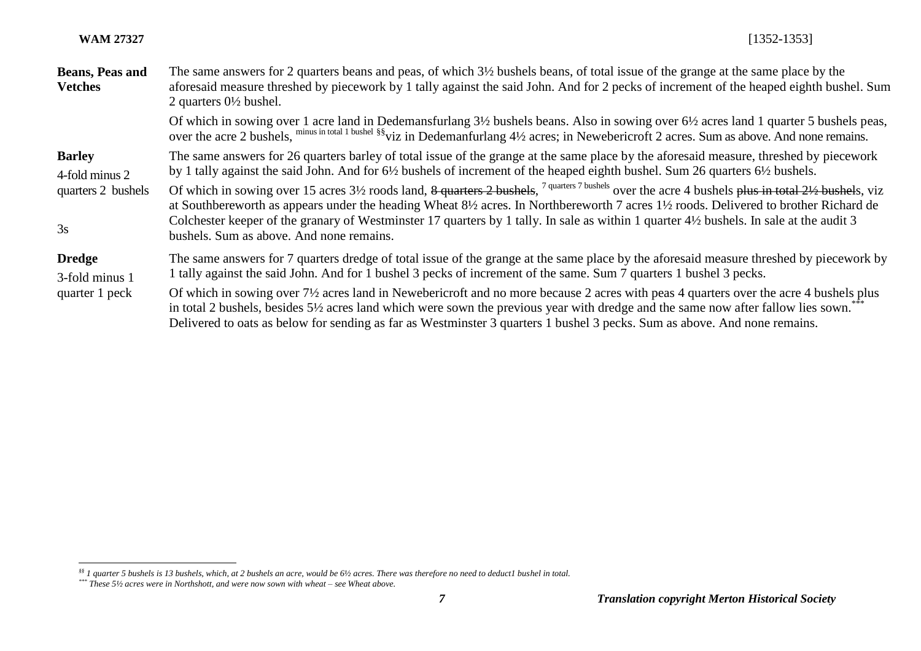l

| <b>Beans, Peas and</b><br><b>Vetches</b>                    | The same answers for 2 quarters beans and peas, of which $3\frac{1}{2}$ bushels beans, of total issue of the grange at the same place by the<br>aforesaid measure threshed by piecework by 1 tally against the said John. And for 2 pecks of increment of the heaped eighth bushel. Sum<br>2 quarters $0\frac{1}{2}$ bushel.                                                                                                                                                                                                                                                                                                                                                                                                                                                                                                   |
|-------------------------------------------------------------|--------------------------------------------------------------------------------------------------------------------------------------------------------------------------------------------------------------------------------------------------------------------------------------------------------------------------------------------------------------------------------------------------------------------------------------------------------------------------------------------------------------------------------------------------------------------------------------------------------------------------------------------------------------------------------------------------------------------------------------------------------------------------------------------------------------------------------|
|                                                             | Of which in sowing over 1 acre land in Dedemansfurlang $3\frac{1}{2}$ bushels beans. Also in sowing over $6\frac{1}{2}$ acres land 1 quarter 5 bushels peas,<br>over the acre 2 bushels, minus in total 1 bushel §§ viz in Dedemanturlang 4½ acres; in Newebericroft 2 acres. Sum as above. And none remains.                                                                                                                                                                                                                                                                                                                                                                                                                                                                                                                  |
| <b>Barley</b><br>4-fold minus 2<br>quarters 2 bushels<br>3s | The same answers for 26 quarters barley of total issue of the grange at the same place by the aforesaid measure, threshed by piecework<br>by 1 tally against the said John. And for 6½ bushels of increment of the heaped eighth bushel. Sum 26 quarters 6½ bushels.<br>Of which in sowing over 15 acres 3 <sup>1</sup> / <sub>2</sub> roods land, <del>8 quarters 2 bushels</del> , <sup>7 quarters 7 bushels over the acre 4 bushels plus in total 2<sup>1</sup>/<sub>2</sub> bushels, viz</sup><br>at Southbereworth as appears under the heading Wheat 8½ acres. In Northbereworth 7 acres 1½ roods. Delivered to brother Richard de<br>Colchester keeper of the granary of Westminster 17 quarters by 1 tally. In sale as within 1 quarter 4½ bushels. In sale at the audit 3<br>bushels. Sum as above. And none remains. |
| <b>Dredge</b><br>3-fold minus 1<br>quarter 1 peck           | The same answers for 7 quarters dredge of total issue of the grange at the same place by the aforesaid measure threshed by piecework by<br>1 tally against the said John. And for 1 bushel 3 pecks of increment of the same. Sum 7 quarters 1 bushel 3 pecks.<br>Of which in sowing over 7 <sup>1</sup> / <sub>2</sub> acres land in Newebericroft and no more because 2 acres with peas 4 quarters over the acre 4 bushels plus<br>in total 2 bushels, besides 5½ acres land which were sown the previous year with dredge and the same now after fallow lies sown.<br>Delivered to oats as below for sending as far as Westminster 3 quarters 1 bushel 3 pecks. Sum as above. And none remains.                                                                                                                              |

*<sup>§§</sup> 1 quarter 5 bushels is 13 bushels, which, at 2 bushels an acre, would be 6½ acres. There was therefore no need to deduct1 bushel in total.*

*<sup>\*\*\*</sup> These 5½ acres were in Northshott, and were now sown with wheat – see Wheat above.*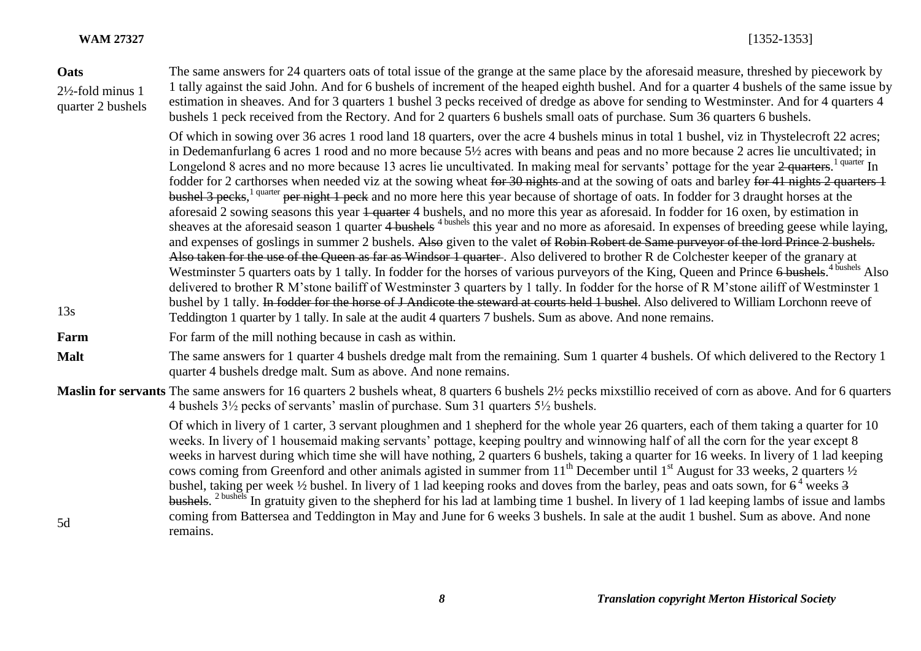#### **Oats**

2½-fold minus 1 quarter 2 bushels The same answers for 24 quarters oats of total issue of the grange at the same place by the aforesaid measure, threshed by piecework by 1 tally against the said John. And for 6 bushels of increment of the heaped eighth bushel. And for a quarter 4 bushels of the same issue by estimation in sheaves. And for 3 quarters 1 bushel 3 pecks received of dredge as above for sending to Westminster. And for 4 quarters 4 bushels 1 peck received from the Rectory. And for 2 quarters 6 bushels small oats of purchase. Sum 36 quarters 6 bushels.

Of which in sowing over 36 acres 1 rood land 18 quarters, over the acre 4 bushels minus in total 1 bushel, viz in Thystelecroft 22 acres; in Dedemanfurlang 6 acres 1 rood and no more because 5½ acres with beans and peas and no more because 2 acres lie uncultivated; in Longelond 8 acres and no more because 13 acres lie uncultivated. In making meal for servants' pottage for the year 2 quarters.<sup>1 quarter</sup> In fodder for 2 carthorses when needed viz at the sowing wheat for 30 nights and at the sowing of oats and barley for 41 nights 2 quarters 1 bushel 3 pecks,<sup>1 quarter</sup> per night 1 peck and no more here this year because of shortage of oats. In fodder for 3 draught horses at the aforesaid 2 sowing seasons this year 1 quarter 4 bushels, and no more this year as aforesaid. In fodder for 16 oxen, by estimation in sheaves at the aforesaid season 1 quarter 4 bushels <sup>4 bushels</sup> this year and no more as aforesaid. In expenses of breeding geese while laying, and expenses of goslings in summer 2 bushels. Also given to the valet of Robin Robert de Same purveyor of the lord Prince 2 bushels. Also taken for the use of the Queen as far as Windsor 1 quarter. Also delivered to brother R de Colchester keeper of the granary at Westminster 5 quarters oats by 1 tally. In fodder for the horses of various purveyors of the King, Queen and Prince 6 bushels.<sup>4 bushels</sup> Also delivered to brother R M'stone bailiff of Westminster 3 quarters by 1 tally. In fodder for the horse of R M'stone ailiff of Westminster 1 bushel by 1 tally. In fodder for the horse of J Andicote the steward at courts held 1 bushel. Also delivered to William Lorchonn reeve of Teddington 1 quarter by 1 tally. In sale at the audit 4 quarters 7 bushels. Sum as above. And none remains.

**Farm** For farm of the mill nothing because in cash as within.

**Malt** The same answers for 1 quarter 4 bushels dredge malt from the remaining. Sum 1 quarter 4 bushels. Of which delivered to the Rectory 1 quarter 4 bushels dredge malt. Sum as above. And none remains.

**Maslin for servants** The same answers for 16 quarters 2 bushels wheat, 8 quarters 6 bushels 2½ pecks mixstillio received of corn as above. And for 6 quarters 4 bushels 3½ pecks of servants' maslin of purchase. Sum 31 quarters 5½ bushels.

> Of which in livery of 1 carter, 3 servant ploughmen and 1 shepherd for the whole year 26 quarters, each of them taking a quarter for 10 weeks. In livery of 1 housemaid making servants' pottage, keeping poultry and winnowing half of all the corn for the year except 8 weeks in harvest during which time she will have nothing, 2 quarters 6 bushels, taking a quarter for 16 weeks. In livery of 1 lad keeping cows coming from Greenford and other animals agisted in summer from 11<sup>th</sup> December until 1<sup>st</sup> August for 33 weeks, 2 quarters  $\frac{1}{2}$ bushel, taking per week  $\frac{1}{2}$  bushel. In livery of 1 lad keeping rooks and doves from the barley, peas and oats sown, for  $6^4$  weeks 3 bushels.<sup>2 bushels</sup> In gratuity given to the shepherd for his lad at lambing time 1 bushel. In livery of 1 lad keeping lambs of issue and lambs coming from Battersea and Teddington in May and June for 6 weeks 3 bushels. In sale at the audit 1 bushel. Sum as above. And none remains.

13s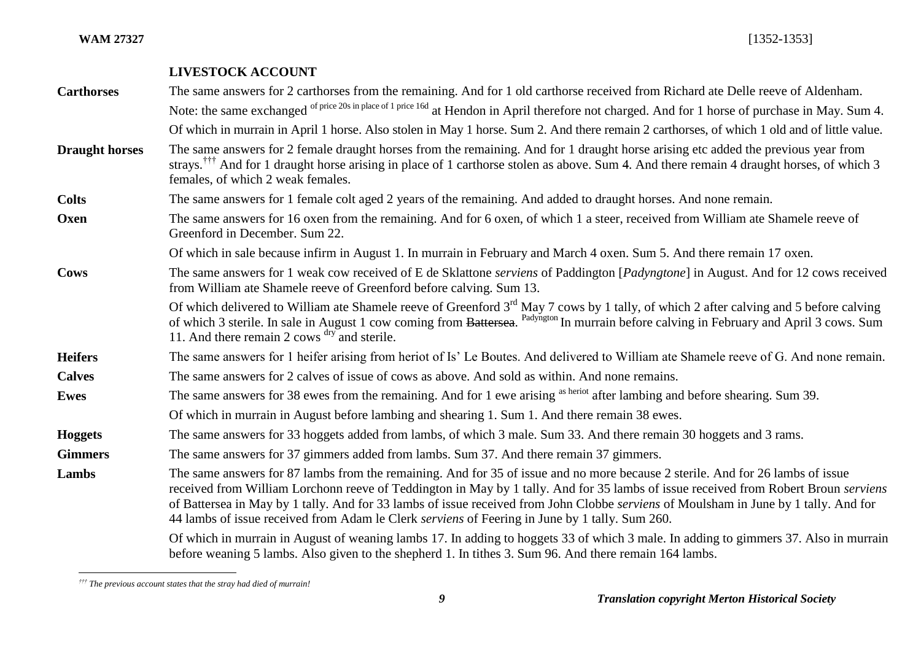### **LIVESTOCK ACCOUNT**

**Carthorses** The same answers for 2 carthorses from the remaining. And for 1 old carthorse received from Richard ate Delle reeve of Aldenham. Note: the same exchanged of price 20s in place of 1 price 16d at Hendon in April therefore not charged. And for 1 horse of purchase in May. Sum 4. Of which in murrain in April 1 horse. Also stolen in May 1 horse. Sum 2. And there remain 2 carthorses, of which 1 old and of little value. **Draught horses** The same answers for 2 female draught horses from the remaining. And for 1 draught horse arising etc added the previous year from strays.<sup>†††</sup> And for 1 draught horse arising in place of 1 carthorse stolen as above. Sum 4. And there remain 4 draught horses, of which 3 females, of which 2 weak females. **Colts** The same answers for 1 female colt aged 2 years of the remaining. And added to draught horses. And none remain. **Oxen** The same answers for 16 oxen from the remaining. And for 6 oxen, of which 1 a steer, received from William ate Shamele reeve of Greenford in December. Sum 22. Of which in sale because infirm in August 1. In murrain in February and March 4 oxen. Sum 5. And there remain 17 oxen. **Cows** The same answers for 1 weak cow received of E de Sklattone *serviens* of Paddington [*Padyngtone*] in August. And for 12 cows received from William ate Shamele reeve of Greenford before calving. Sum 13. Of which delivered to William ate Shamele reeve of Greenford  $3<sup>rd</sup>$  May 7 cows by 1 tally, of which 2 after calving and 5 before calving of which 3 sterile. In sale in August 1 cow coming from Battersea. <sup>Padyngton</sup> In murrain before calving in February and April 3 cows. Sum 11. And there remain 2 cows <sup>dry</sup> and sterile. **Heifers** The same answers for 1 heifer arising from heriot of Is' Le Boutes. And delivered to William ate Shamele reeve of G. And none remain. **Calves** The same answers for 2 calves of issue of cows as above. And sold as within. And none remains. **Ewes** The same answers for 38 ewes from the remaining. And for 1 ewe arising as heriot after lambing and before shearing. Sum 39. Of which in murrain in August before lambing and shearing 1. Sum 1. And there remain 38 ewes. **Hoggets** The same answers for 33 hoggets added from lambs, of which 3 male. Sum 33. And there remain 30 hoggets and 3 rams. **Gimmers** The same answers for 37 gimmers added from lambs. Sum 37. And there remain 37 gimmers. Lambs The same answers for 87 lambs from the remaining. And for 35 of issue and no more because 2 sterile. And for 26 lambs of issue received from William Lorchonn reeve of Teddington in May by 1 tally. And for 35 lambs of issue received from Robert Broun *serviens* of Battersea in May by 1 tally. And for 33 lambs of issue received from John Clobbe *serviens* of Moulsham in June by 1 tally. And for 44 lambs of issue received from Adam le Clerk *serviens* of Feering in June by 1 tally. Sum 260. Of which in murrain in August of weaning lambs 17. In adding to hoggets 33 of which 3 male. In adding to gimmers 37. Also in murrain before weaning 5 lambs. Also given to the shepherd 1. In tithes 3. Sum 96. And there remain 164 lambs.

 $\overline{a}$ *††† The previous account states that the stray had died of murrain!*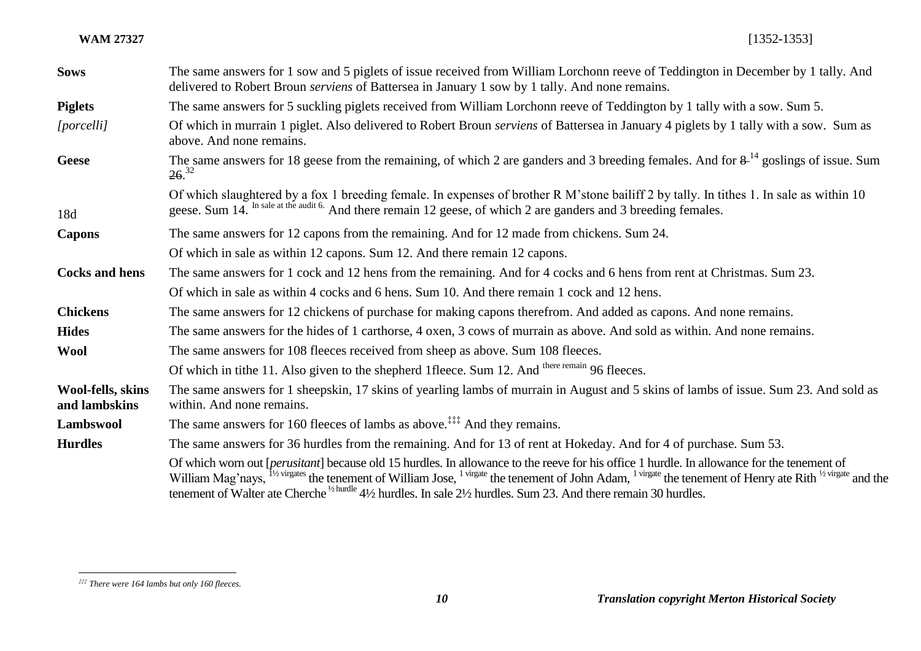**WAM 27327** [1352-1353]

| <b>Sows</b>                        | The same answers for 1 sow and 5 piglets of issue received from William Lorchonn reeve of Teddington in December by 1 tally. And<br>delivered to Robert Broun serviens of Battersea in January 1 sow by 1 tally. And none remains.                                                                                                                                                                                                                                                                                             |
|------------------------------------|--------------------------------------------------------------------------------------------------------------------------------------------------------------------------------------------------------------------------------------------------------------------------------------------------------------------------------------------------------------------------------------------------------------------------------------------------------------------------------------------------------------------------------|
| <b>Piglets</b>                     | The same answers for 5 suckling piglets received from William Lorchonn reeve of Teddington by 1 tally with a sow. Sum 5.                                                                                                                                                                                                                                                                                                                                                                                                       |
| [porcelli]                         | Of which in murrain 1 piglet. Also delivered to Robert Broun serviens of Battersea in January 4 piglets by 1 tally with a sow. Sum as<br>above. And none remains.                                                                                                                                                                                                                                                                                                                                                              |
| <b>Geese</b>                       | The same answers for 18 geese from the remaining, of which 2 are ganders and 3 breeding females. And for $8^{-14}$ goslings of issue. Sum<br>26. <sup>32</sup>                                                                                                                                                                                                                                                                                                                                                                 |
| 18d                                | Of which slaughtered by a fox 1 breeding female. In expenses of brother R M'stone bailiff 2 by tally. In tithes 1. In sale as within 10<br>geese. Sum 14. In sale at the audit 6. And there remain 12 geese, of which 2 are ganders and 3 breeding females.                                                                                                                                                                                                                                                                    |
| <b>Capons</b>                      | The same answers for 12 capons from the remaining. And for 12 made from chickens. Sum 24.                                                                                                                                                                                                                                                                                                                                                                                                                                      |
|                                    | Of which in sale as within 12 capons. Sum 12. And there remain 12 capons.                                                                                                                                                                                                                                                                                                                                                                                                                                                      |
| <b>Cocks and hens</b>              | The same answers for 1 cock and 12 hens from the remaining. And for 4 cocks and 6 hens from rent at Christmas. Sum 23.                                                                                                                                                                                                                                                                                                                                                                                                         |
|                                    | Of which in sale as within 4 cocks and 6 hens. Sum 10. And there remain 1 cock and 12 hens.                                                                                                                                                                                                                                                                                                                                                                                                                                    |
| <b>Chickens</b>                    | The same answers for 12 chickens of purchase for making capons therefrom. And added as capons. And none remains.                                                                                                                                                                                                                                                                                                                                                                                                               |
| <b>Hides</b>                       | The same answers for the hides of 1 carthorse, 4 oxen, 3 cows of murrain as above. And sold as within. And none remains.                                                                                                                                                                                                                                                                                                                                                                                                       |
| <b>Wool</b>                        | The same answers for 108 fleeces received from sheep as above. Sum 108 fleeces.                                                                                                                                                                                                                                                                                                                                                                                                                                                |
|                                    | Of which in tithe 11. Also given to the shepherd 1fleece. Sum 12. And there remain 96 fleeces.                                                                                                                                                                                                                                                                                                                                                                                                                                 |
| Wool-fells, skins<br>and lambskins | The same answers for 1 sheepskin, 17 skins of yearling lambs of murrain in August and 5 skins of lambs of issue. Sum 23. And sold as<br>within. And none remains.                                                                                                                                                                                                                                                                                                                                                              |
| Lambswool                          | The same answers for 160 fleeces of lambs as above. <sup>‡‡‡</sup> And they remains.                                                                                                                                                                                                                                                                                                                                                                                                                                           |
| <b>Hurdles</b>                     | The same answers for 36 hurdles from the remaining. And for 13 of rent at Hokeday. And for 4 of purchase. Sum 53.                                                                                                                                                                                                                                                                                                                                                                                                              |
|                                    | Of which worn out [ <i>perusitant</i> ] because old 15 hurdles. In allowance to the reeve for his office 1 hurdle. In allowance for the tenement of<br>William Mag'nays, <sup>11/2 virgates</sup> the tenement of William Jose, <sup>1 virgate</sup> the tenement of John Adam, <sup>1 virgate</sup> the tenement of Henry ate Rith <sup>1/2 virgate</sup> and the<br>tenement of Walter ate Cherche <sup>1/2 hurdles</sup> 4 <sup>1</sup> /2 hurdles. In sale 2 <sup>1</sup> /2 hurdles. Sum 23. And there remain 30 hurdles. |

 $\overline{a}$ 

*<sup>‡‡‡</sup> There were 164 lambs but only 160 fleeces.*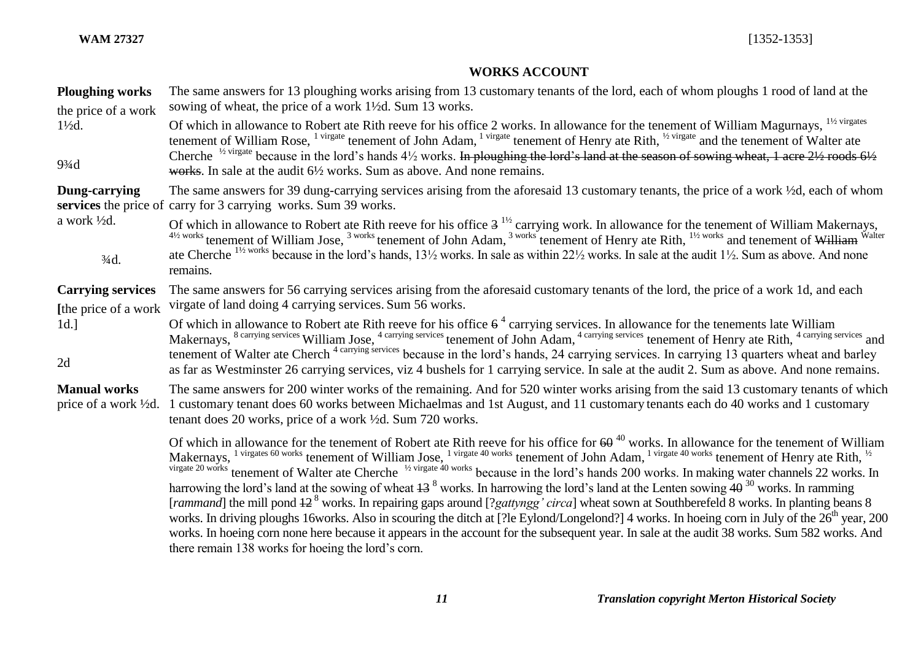# **WORKS ACCOUNT**

|  | <b>Ploughing works</b><br>the price of a work           | The same answers for 13 ploughing works arising from 13 customary tenants of the lord, each of whom ploughs 1 rood of land at the<br>sowing of wheat, the price of a work 1 <sup>1</sup> / <sub>2</sub> d. Sum 13 works.                                                                                                                                                                                                                                                                                                                                                                                                                                                                                                                                                                                                                                                                                                                                                                                                                                                                                                                                                                     |
|--|---------------------------------------------------------|----------------------------------------------------------------------------------------------------------------------------------------------------------------------------------------------------------------------------------------------------------------------------------------------------------------------------------------------------------------------------------------------------------------------------------------------------------------------------------------------------------------------------------------------------------------------------------------------------------------------------------------------------------------------------------------------------------------------------------------------------------------------------------------------------------------------------------------------------------------------------------------------------------------------------------------------------------------------------------------------------------------------------------------------------------------------------------------------------------------------------------------------------------------------------------------------|
|  | $1\frac{1}{2}d$ .<br>$9\frac{3}{4}$ d                   | Of which in allowance to Robert ate Rith reeve for his office 2 works. In allowance for the tenement of William Magurnays, <sup>11/2 virgates</sup><br>tenement of William Rose, <sup>1 virgate</sup> tenement of John Adam, <sup>1 virgate</sup> tenement of Henry ate Rith, <sup>1/2</sup> virgate and the tenement of Walter ate<br>Cherche <sup>1/2 virgate</sup> because in the lord's hands $4\frac{1}{2}$ works. In ploughing the lord's land at the season of sowing wheat, 1 acre $2\frac{1}{2}$ roods $6\frac{1}{2}$<br>works. In sale at the audit 6 <sup>1</sup> / <sub>2</sub> works. Sum as above. And none remains.                                                                                                                                                                                                                                                                                                                                                                                                                                                                                                                                                           |
|  | Dung-carrying                                           | The same answers for 39 dung-carrying services arising from the aforesaid 13 customary tenants, the price of a work 1/2d, each of whom<br>services the price of carry for 3 carrying works. Sum 39 works.                                                                                                                                                                                                                                                                                                                                                                                                                                                                                                                                                                                                                                                                                                                                                                                                                                                                                                                                                                                    |
|  | a work ½d.<br>$3/4d$ .                                  | Of which in allowance to Robert ate Rith reeve for his office $3^{1/2}$ carrying work. In allowance for the tenement of William Makernays,<br>41/2 works tenement of William Jose, <sup>3 works</sup> tenement of John Adam, <sup>3 works</sup> tenement of Henry ate Rith, <sup>11/2 works</sup> and tenement of William Walter<br>ate Cherche <sup>11/2 works</sup> because in the lord's hands, 13 <sup>1</sup> / <sub>2</sub> works. In sale as within 22 <sup>1</sup> / <sub>2</sub> works. In sale at the audit 1 <sup>1</sup> / <sub>2</sub> . Sum as above. And none<br>remains.                                                                                                                                                                                                                                                                                                                                                                                                                                                                                                                                                                                                     |
|  | <b>Carrying services</b><br>[the price of a work]       | The same answers for 56 carrying services arising from the aforesaid customary tenants of the lord, the price of a work 1d, and each<br>virgate of land doing 4 carrying services. Sum 56 works.                                                                                                                                                                                                                                                                                                                                                                                                                                                                                                                                                                                                                                                                                                                                                                                                                                                                                                                                                                                             |
|  | $1d.$ ]<br>2d                                           | Of which in allowance to Robert ate Rith reeve for his office $6^4$ carrying services. In allowance for the tenements late William<br>Makernays, <sup>8</sup> carrying services William Jose, <sup>4</sup> carrying services tenement of John Adam, <sup>4</sup> carrying services tenement of Henry ate Rith, <sup>4</sup> carrying services and<br>tenement of Walter ate Cherch <sup>4 carrying services</sup> because in the lord's hands, 24 carrying services. In carrying 13 quarters wheat and barley<br>as far as Westminster 26 carrying services, viz 4 bushels for 1 carrying service. In sale at the audit 2. Sum as above. And none remains.                                                                                                                                                                                                                                                                                                                                                                                                                                                                                                                                   |
|  | <b>Manual works</b><br>price of a work $\frac{1}{2}d$ . | The same answers for 200 winter works of the remaining. And for 520 winter works arising from the said 13 customary tenants of which<br>1 customary tenant does 60 works between Michaelmas and 1st August, and 11 customary tenants each do 40 works and 1 customary<br>tenant does 20 works, price of a work ½ d. Sum 720 works.                                                                                                                                                                                                                                                                                                                                                                                                                                                                                                                                                                                                                                                                                                                                                                                                                                                           |
|  |                                                         | Of which in allowance for the tenement of Robert ate Rith reeve for his office for $60^{40}$ works. In allowance for the tenement of William<br>Makernays, <sup>1 virgates 60 works</sup> tenement of William Jose, <sup>1 virgate 40 works</sup> tenement of John Adam, <sup>1 virgate 40 works</sup> tenement of Henry ate Rith, <sup>1/2</sup><br>virgate 20 works tenement of Walter ate Cherche <sup>1/2</sup> virgate 40 works because in the lord's hands 200 works. In making water channels 22 works. In<br>harrowing the lord's land at the sowing of wheat $13^8$ works. In harrowing the lord's land at the Lenten sowing $40^{30}$ works. In ramming<br>[rammand] the mill pond $42^8$ works. In repairing gaps around [? <i>gattyngg' circa</i> ] wheat sown at Southberefeld 8 works. In planting beans 8<br>works. In driving ploughs 16works. Also in scouring the ditch at [?le Eylond/Longelond?] 4 works. In hoeing corn in July of the 26 <sup>th</sup> year, 200<br>works. In hoeing corn none here because it appears in the account for the subsequent year. In sale at the audit 38 works. Sum 582 works. And<br>there remain 138 works for hoeing the lord's corn. |
|  |                                                         |                                                                                                                                                                                                                                                                                                                                                                                                                                                                                                                                                                                                                                                                                                                                                                                                                                                                                                                                                                                                                                                                                                                                                                                              |